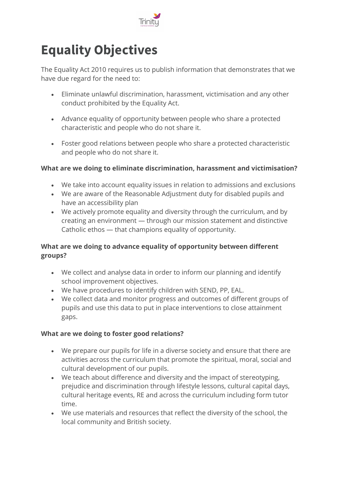

## **Equality Objectives**

The Equality Act 2010 requires us to publish information that demonstrates that we have due regard for the need to:

- Eliminate unlawful discrimination, harassment, victimisation and any other conduct prohibited by the Equality Act.
- Advance equality of opportunity between people who share a protected characteristic and people who do not share it.
- Foster good relations between people who share a protected characteristic and people who do not share it.

## **What are we doing to eliminate discrimination, harassment and victimisation?**

- We take into account equality issues in relation to admissions and exclusions
- We are aware of the Reasonable Adjustment duty for disabled pupils and have an accessibility plan
- We actively promote equality and diversity through the curriculum, and by creating an environment — through our mission statement and distinctive Catholic ethos — that champions equality of opportunity.

## **What are we doing to advance equality of opportunity between different groups?**

- We collect and analyse data in order to inform our planning and identify school improvement objectives.
- We have procedures to identify children with SEND, PP, EAL.
- We collect data and monitor progress and outcomes of different groups of pupils and use this data to put in place interventions to close attainment gaps.

## **What are we doing to foster good relations?**

- We prepare our pupils for life in a diverse society and ensure that there are activities across the curriculum that promote the spiritual, moral, social and cultural development of our pupils.
- We teach about difference and diversity and the impact of stereotyping, prejudice and discrimination through lifestyle lessons, cultural capital days, cultural heritage events, RE and across the curriculum including form tutor time.
- We use materials and resources that reflect the diversity of the school, the local community and British society.